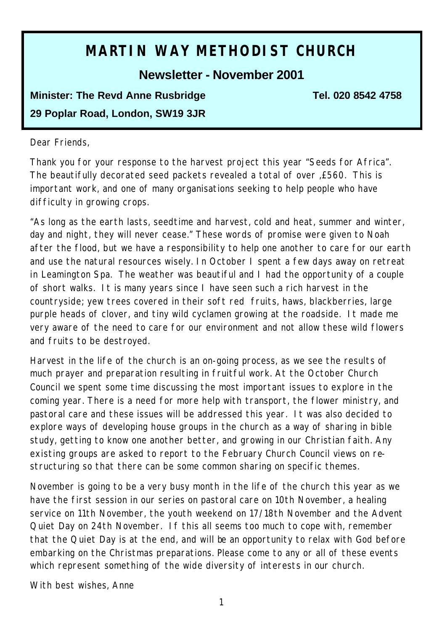# **MARTIN WAY METHODIST CHURCH**

**Newsletter - November 2001**

**Minister: The Revd Anne Rusbridge Tel. 020 8542 4758 29 Poplar Road, London, SW19 3JR**

#### Dear Friends,

Thank you for your response to the harvest project this year "Seeds for Africa". The beautifully decorated seed packets revealed a total of over ,£560. This is important work, and one of many organisations seeking to help people who have difficulty in growing crops.

*"As long as the earth lasts, seedtime and harvest, cold and heat, summer and winter, day and night, they will never cease."* These words of promise were given to Noah after the flood, but we have a responsibility to help one another to care for our earth and use the natural resources wisely. In October I spent a few days away on retreat in Leamington Spa. The weather was beautiful and I had the opportunity of a couple of short walks. It is many years since I have seen such a rich harvest in the countryside; yew trees covered in their soft red fruits, haws, blackberries, large purple heads of clover, and tiny wild cyclamen growing at the roadside. It made me very aware of the need to care for our environment and not allow these wild flowers and fruits to be destroyed.

Harvest in the life of the church is an on-going process, as we see the results of much prayer and preparation resulting in fruitful work. At the October Church Council we spent some time discussing the most important issues to explore in the coming year. There is a need for more help with transport, the flower ministry, and pastoral care and these issues will be addressed this year. It was also decided to explore ways of developing house groups in the church as a way of sharing in bible study, getting to know one another better, and growing in our Christian faith. Any existing groups are asked to report to the February Church Council views on restructuring so that there can be some common sharing on specific themes.

November is going to be a very busy month in the life of the church this year as we have the first session in our series on pastoral care on 10th November, a healing service on 11th November, the youth weekend on 17/18th November and the Advent Quiet Day on 24th November. If this all seems too much to cope with, remember that the Quiet Day is at the end, and will be an opportunity to relax with God before embarking on the Christmas preparations. Please come to any or all of these events which represent something of the wide diversity of interests in our church.

With best wishes, Anne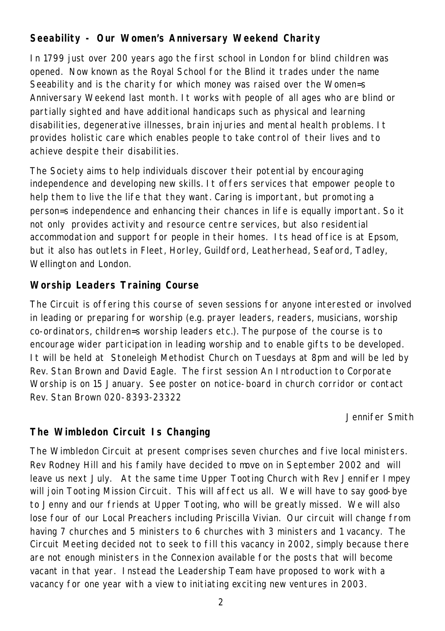## **Seeability - Our Women's Anniversary Weekend Charity**

In 1799 just over 200 years ago the first school in London for blind children was opened. Now known as the Royal School for the Blind it trades under the name Seeability and is the charity for which money was raised over the Women=s Anniversary Weekend last month. It works with people of all ages who are blind or partially sighted and have additional handicaps such as physical and learning disabilities, degenerative illnesses, brain injuries and mental health problems. It provides holistic care which enables people to take control of their lives and to achieve despite their disabilities.

The Society aims to help individuals discover their potential by encouraging independence and developing new skills. It offers services that empower people to help them to live the life that they want. Caring is important, but promoting a person=s independence and enhancing their chances in life is equally important. So it not only provides activity and resource centre services, but also residential accommodation and support for people in their homes. Its head office is at Epsom, but it also has outlets in Fleet, Horley, Guildford, Leatherhead, Seaford, Tadley, Wellington and London.

## **Worship Leaders Training Course**

The Circuit is offering this course of seven sessions for anyone interested or involved in leading or preparing for worship (e.g. prayer leaders, readers, musicians, worship co-ordinators, children=s worship leaders etc.). The purpose of the course is to encourage wider participation in leading worship and to enable gifts to be developed. It will be held at Stoneleigh Methodist Church on Tuesdays at 8pm and will be led by Rev. Stan Brown and David Eagle. The first session An Introduction to Corporate Worship is on 15 January. See poster on notice-board in church corridor or contact Rev. Stan Brown 020-8393-23322

Jennifer Smith

## **The Wimbledon Circuit Is Changing**

The Wimbledon Circuit at present comprises seven churches and five local ministers. Rev Rodney Hill and his family have decided to move on in September 2002 and will leave us next July. At the same time Upper Tooting Church with Rev Jennifer Impey will join Tooting Mission Circuit. This will affect us all. We will have to say good-bye to Jenny and our friends at Upper Tooting, who will be greatly missed. We will also lose four of our Local Preachers including Priscilla Vivian. Our circuit will change from having 7 churches and 5 ministers to 6 churches with 3 ministers and 1 vacancy. The Circuit Meeting decided not to seek to fill this vacancy in 2002, simply because there are not enough ministers in the Connexion available for the posts that will become vacant in that year. Instead the Leadership Team have proposed to work with a vacancy for one year with a view to initiating exciting new ventures in 2003.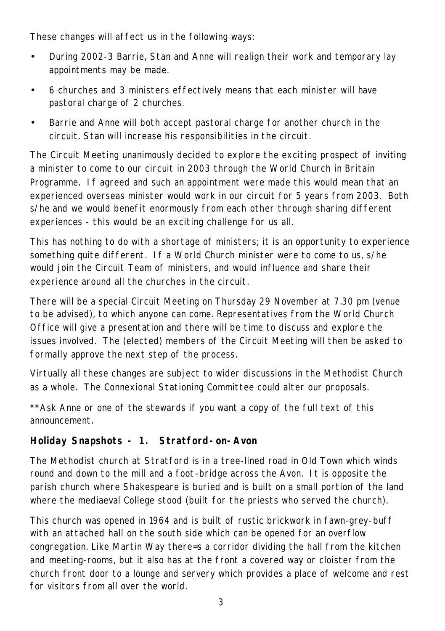These changes will affect us in the following ways:

- During 2002-3 Barrie, Stan and Anne will realign their work and temporary lay appointments may be made.
- 6 churches and 3 ministers effectively means that each minister will have pastoral charge of 2 churches.
- Barrie and Anne will both accept pastoral charge for another church in the circuit. Stan will increase his responsibilities in the circuit.

The Circuit Meeting unanimously decided to explore the exciting prospect of inviting a minister to come to our circuit in 2003 through the World Church in Britain Programme. If agreed and such an appointment were made this would mean that an experienced overseas minister would work in our circuit for 5 years from 2003. Both s/he and we would benefit enormously from each other through sharing different experiences - this would be an exciting challenge for us all.

This has nothing to do with a shortage of ministers; it is an opportunity to experience something quite different. If a World Church minister were to come to us, s/he would join the Circuit Team of ministers, and would influence and share their experience around all the churches in the circuit.

There will be a special Circuit Meeting on Thursday 29 November at 7.30 pm (venue to be advised), to which anyone can come. Representatives from the World Church Office will give a presentation and there will be time to discuss and explore the issues involved. The (elected) members of the Circuit Meeting will then be asked to formally approve the next step of the process.

Virtually all these changes are subject to wider discussions in the Methodist Church as a whole. The Connexional Stationing Committee could alter our proposals.

*\*\*Ask Anne or one of the stewards if you want a copy of the full text of this announcement.*

## **Holiday Snapshots - 1. Stratford-on-Avon**

The Methodist church at Stratford is in a tree-lined road in Old Town which winds round and down to the mill and a foot-bridge across the Avon. It is opposite the parish church where Shakespeare is buried and is built on a small portion of the land where the mediaeval College stood (built for the priests who served the church).

This church was opened in 1964 and is built of rustic brickwork in fawn-grey-buff with an attached hall on the south side which can be opened for an overflow congregation. Like Martin Way there=s a corridor dividing the hall from the kitchen and meeting-rooms, but it also has at the front a covered way or cloister from the church front door to a lounge and servery which provides a place of welcome and rest for visitors from all over the world.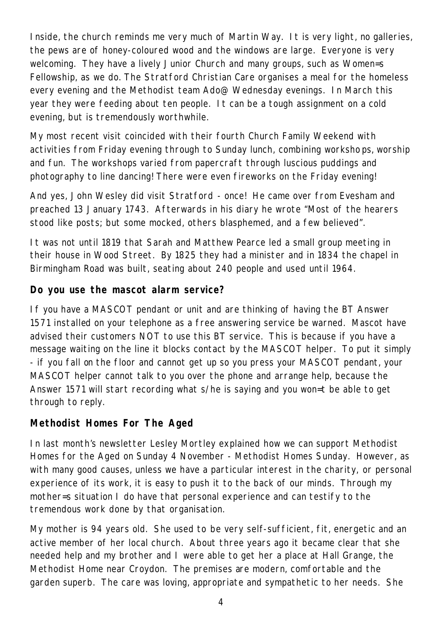Inside, the church reminds me very much of Martin Way. It is very light, no galleries, the pews are of honey-coloured wood and the windows are large. Everyone is very welcoming. They have a lively Junior Church and many groups, such as Women=s Fellowship, as we do. The Stratford Christian Care organises a meal for the homeless every evening and the Methodist team Ado@ Wednesday evenings. In March this year they were feeding about ten people. It can be a tough assignment on a cold evening, but is tremendously worthwhile.

My most recent visit coincided with their fourth Church Family Weekend with activities from Friday evening through to Sunday lunch, combining worksho ps, worship and fun. The workshops varied from papercraft through luscious puddings and photography to line dancing! There were even fireworks on the Friday evening!

And yes, John Wesley did visit Stratford - once! He came over from Evesham and preached 13 January 1743. Afterwards in his diary he wrote "Most of the hearers stood like posts; but some mocked, others blasphemed, and a few believed".

It was not until 1819 that Sarah and Matthew Pearce led a small group meeting in their house in Wood Street. By 1825 they had a minister and in 1834 the chapel in Birmingham Road was built, seating about 240 people and used until 1964.

## **Do you use the mascot alarm service?**

If you have a MASCOT pendant or unit and are thinking of having the BT Answer 1571 installed on your telephone as a free answering service be warned. Mascot have advised their customers NOT to use this BT service. This is because if you have a message waiting on the line it blocks contact by the MASCOT helper. To put it simply - if you fall on the floor and cannot get up so you press your MASCOT pendant, your MASCOT helper cannot talk to you over the phone and arrange help, because the Answer 1571 will start recording what s/he is saying and you won=t be able to get through to reply.

## **Methodist Homes For The Aged**

In last month's newsletter Lesley Mortley explained how we can support Methodist Homes for the Aged on Sunday 4 November - Methodist Homes Sunday. However, as with many good causes, unless we have a particular interest in the charity, or personal experience of its work, it is easy to push it to the back of our minds. Through my mother=s situation I do have that personal experience and can testify to the tremendous work done by that organisation.

My mother is 94 years old. She used to be very self-sufficient, fit, energetic and an active member of her local church. About three years ago it became clear that she needed help and my brother and I were able to get her a place at Hall Grange, the Methodist Home near Croydon. The premises are modern, comfortable and the garden superb. The care was loving, appropriate and sympathetic to her needs. She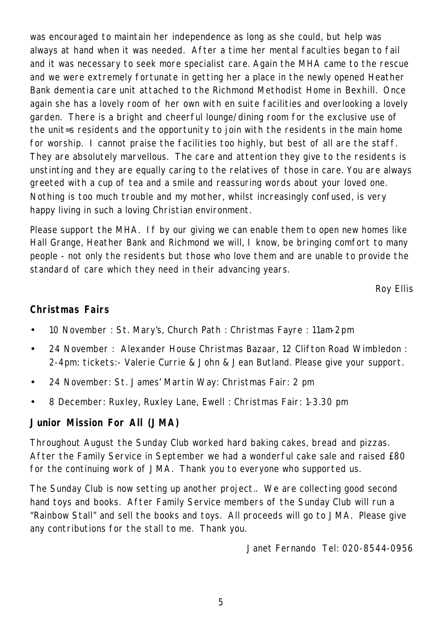was encouraged to maintain her independence as long as she could, but help was always at hand when it was needed. After a time her mental faculties began to fail and it was necessary to seek more specialist care. Again the MHA came to the rescue and we were extremely fortunate in getting her a place in the newly opened Heather Bank dementia care unit attached to the Richmond Methodist Home in Bexhill. Once again she has a lovely room of her own with en suite facilities and overlooking a lovely garden. There is a bright and cheerful lounge/dining room for the exclusive use of the unit=s residents and the opportunity to join with the residents in the main home for worship. I cannot praise the facilities too highly, but best of all are the staff. They are absolutely marvellous. The care and attention they give to the residents is unstinting and they are equally caring to the relatives of those in care. You are always greeted with a cup of tea and a smile and reassuring words about your loved one. Nothing is too much trouble and my mother, whilst increasingly confused, is very happy living in such a loving Christian environment.

Please support the MHA. If by our giving we can enable them to open new homes like Hall Grange, Heather Bank and Richmond we will, I know, be bringing comfort to many people - not only the residents but those who love them and are unable to provide the standard of care which they need in their advancing years.

Roy Ellis

#### **Christmas Fairs**

- 10 November : St. Mary's, Church Path : Christmas Fayre : 11am-2pm
- 24 November : Alexander House Christmas Bazaar, 12 Clifton Road Wimbledon : 2-4pm: tickets:- Valerie Currie & John & Jean Butland. Please give your support.
- 24 November: St. James' Martin Way: Christmas Fair: 2 pm
- 8 December: Ruxley, Ruxley Lane, Ewell : Christmas Fair: 1-3.30 pm

#### **Junior Mission For All (JMA)**

Throughout August the Sunday Club worked hard baking cakes, bread and pizzas. After the Family Service in September we had a wonderful cake sale and raised £80 for the continuing work of JMA. Thank you to everyone who supported us.

The Sunday Club is now setting up another project.. We are collecting good second hand toys and books. After Family Service members of the Sunday Club will run a "Rainbow Stall" and sell the books and toys. All proceeds will go to JMA. Please give any contributions for the stall to me. Thank you.

Janet Fernando Tel: 020-8544-0956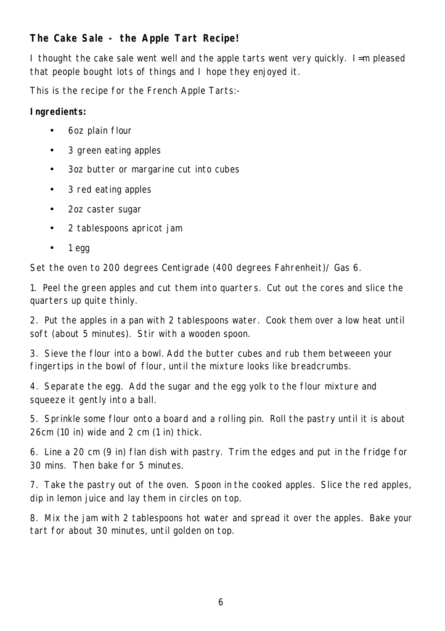## **The Cake Sale - the Apple Tart Recipe!**

I thought the cake sale went well and the apple tarts went very quickly. I=m pleased that people bought lots of things and I hope they enjoyed it.

This is the recipe for the French Apple Tarts:-

#### *Ingredients:*

- 6oz plain flour
- 3 green eating apples
- 3oz butter or margarine cut into cubes
- 3 red eating apples
- 2oz caster sugar
- 2 tablespoons apricot jam
- $\bullet$  1 egg

Set the oven to 200 degrees Centigrade (400 degrees Fahrenheit)/ Gas 6.

1. Peel the green apples and cut them into quarters. Cut out the cores and slice the quarters up quite thinly.

2. Put the apples in a pan with 2 tablespoons water. Cook them over a low heat until soft (about 5 minutes). Stir with a wooden spoon.

3. Sieve the flour into a bowl. Add the butter cubes and rub them betweeen your fingertips in the bowl of flour, until the mixture looks like breadcrumbs.

4. Separate the egg. Add the sugar and the egg yolk to the flour mixture and squeeze it gently into a ball.

5. Sprinkle some flour onto a board and a rolling pin. Roll the pastry until it is about 26cm (10 in) wide and 2 cm (1 in) thick.

6. Line a 20 cm (9 in) flan dish with pastry. Trim the edges and put in the fridge for 30 mins. Then bake for 5 minutes.

7. Take the pastry out of the oven. Spoon in the cooked apples. Slice the red apples, dip in lemon juice and lay them in circles on top.

8. Mix the jam with 2 tablespoons hot water and spread it over the apples. Bake your tart for about 30 minutes, until golden on top.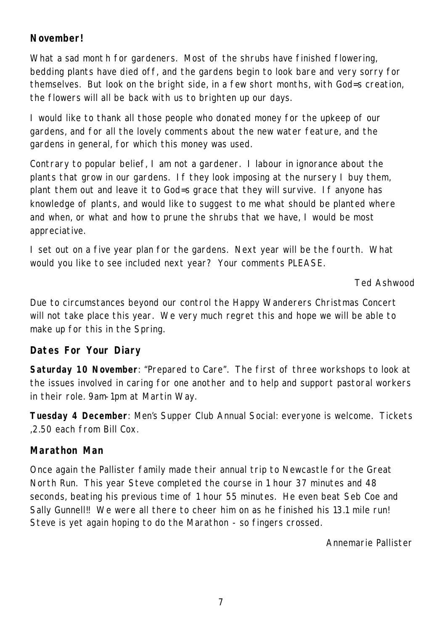## **November!**

What a sad mont h for gardeners. Most of the shrubs have finished flowering, bedding plants have died off, and the gardens begin to look bare and very sorry for themselves. But look on the bright side, in a few short months, with God=s creation, the flowers will all be back with us to brighten up our days.

I would like to thank all those people who donated money for the upkeep of our gardens, and for all the lovely comments about the new water feature, and the gardens in general, for which this money was used.

Contrary to popular belief, I am not a gardener. I labour in ignorance about the plants that grow in our gardens. If they look imposing at the nursery I buy them, plant them out and leave it to God=s grace that they will survive. If anyone has knowledge of plants, and would like to suggest to me what should be planted where and when, or what and how to prune the shrubs that we have, I would be most appreciative.

I set out on a five year plan for the gardens. Next year will be the fourth. What would you like to see included next year? Your comments PLEASE.

Ted Ashwood

Due to circumstances beyond our control the Happy Wanderers Christmas Concert will not take place this year. We very much regret this and hope we will be able to make up for this in the Spring.

#### **Dates For Your Diary**

**Saturday 10 November**: "Prepared to Care". The first of three workshops to look at the issues involved in caring for one another and to help and support pastoral workers in their role. 9am-1pm at Martin Way.

**Tuesday 4 December**: Men's Supper Club Annual Social: everyone is welcome. Tickets ,2.50 each from Bill Cox.

#### **Marathon Man**

Once again the Pallister family made their annual trip to Newcastle for the Great North Run. This year Steve completed the course in 1 hour 37 minutes and 48 seconds, beating his previous time of 1 hour 55 minutes. He even beat Seb Coe and Sally Gunnell!! We were all there to cheer him on as he finished his 13.1 mile run! Steve is yet again hoping to do the Marathon - so fingers crossed.

Annemarie Pallister